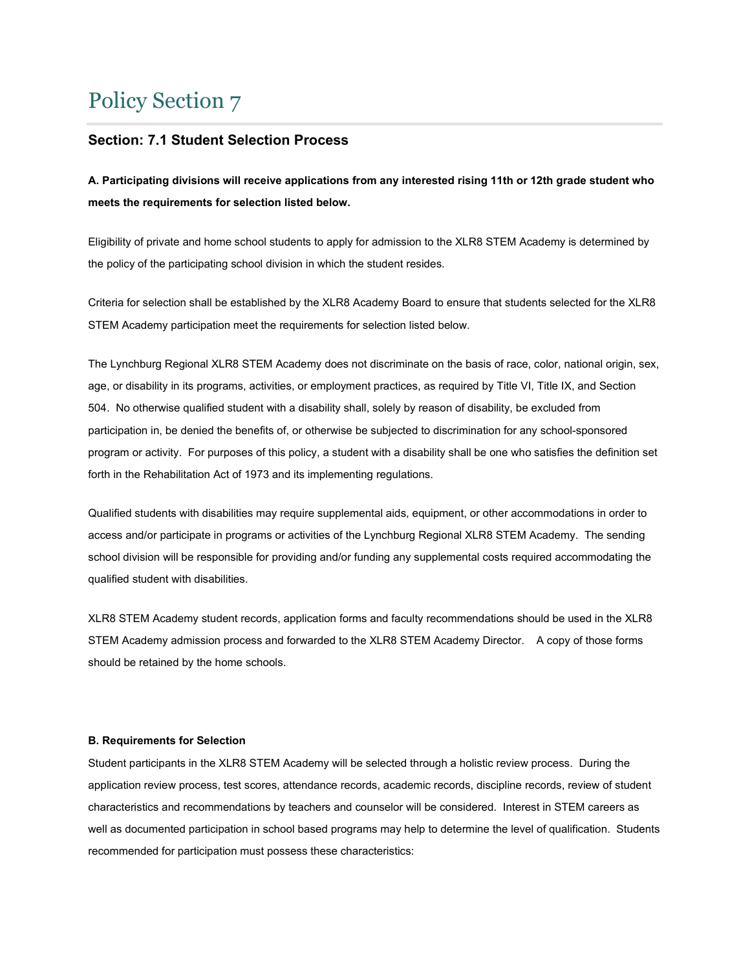# Policy Section 7

# **Section: 7.1 Student Selection Process**

**A. Participating divisions will receive applications from any interested rising 11th or 12th grade student who meets the requirements for selection listed below.**

Eligibility of private and home school students to apply for admission to the XLR8 STEM Academy is determined by the policy of the participating school division in which the student resides.

Criteria for selection shall be established by the XLR8 Academy Board to ensure that students selected for the XLR8 STEM Academy participation meet the requirements for selection listed below.

The Lynchburg Regional XLR8 STEM Academy does not discriminate on the basis of race, color, national origin, sex, age, or disability in its programs, activities, or employment practices, as required by Title VI, Title IX, and Section 504. No otherwise qualified student with a disability shall, solely by reason of disability, be excluded from participation in, be denied the benefits of, or otherwise be subjected to discrimination for any school-sponsored program or activity. For purposes of this policy, a student with a disability shall be one who satisfies the definition set forth in the Rehabilitation Act of 1973 and its implementing regulations.

Qualified students with disabilities may require supplemental aids, equipment, or other accommodations in order to access and/or participate in programs or activities of the Lynchburg Regional XLR8 STEM Academy. The sending school division will be responsible for providing and/or funding any supplemental costs required accommodating the qualified student with disabilities.

XLR8 STEM Academy student records, application forms and faculty recommendations should be used in the XLR8 STEM Academy admission process and forwarded to the XLR8 STEM Academy Director. A copy of those forms should be retained by the home schools.

## **B. Requirements for Selection**

Student participants in the XLR8 STEM Academy will be selected through a holistic review process. During the application review process, test scores, attendance records, academic records, discipline records, review of student characteristics and recommendations by teachers and counselor will be considered. Interest in STEM careers as well as documented participation in school based programs may help to determine the level of qualification. Students recommended for participation must possess these characteristics: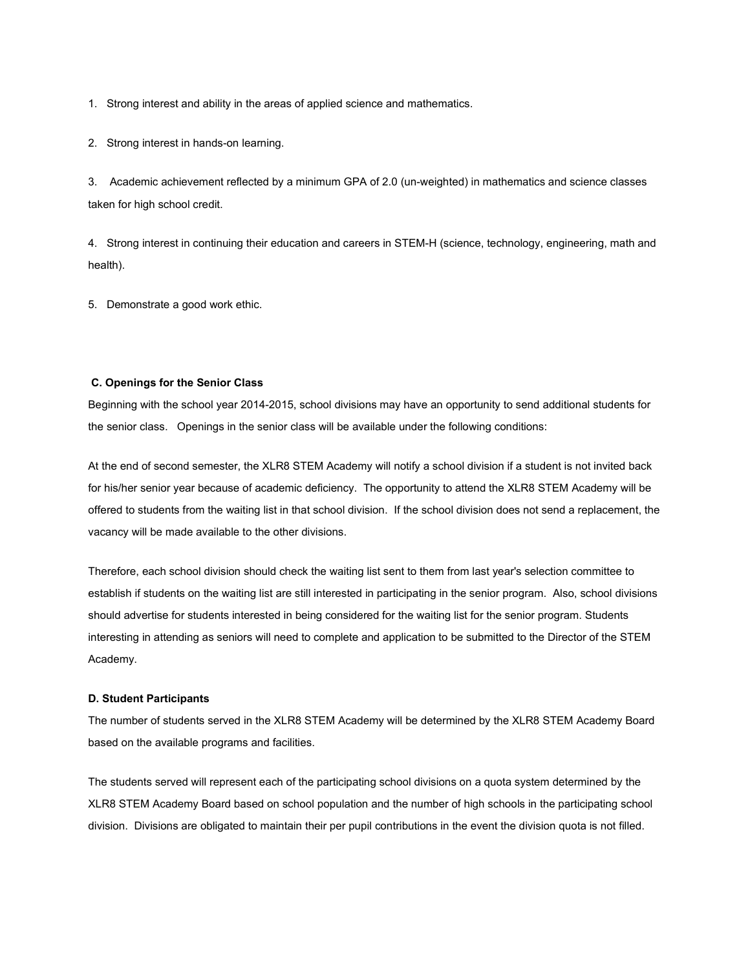1. Strong interest and ability in the areas of applied science and mathematics.

2. Strong interest in hands-on learning.

3. Academic achievement reflected by a minimum GPA of 2.0 (un-weighted) in mathematics and science classes taken for high school credit.

4. Strong interest in continuing their education and careers in STEM-H (science, technology, engineering, math and health).

5. Demonstrate a good work ethic.

#### **C. Openings for the Senior Class**

Beginning with the school year 2014-2015, school divisions may have an opportunity to send additional students for the senior class. Openings in the senior class will be available under the following conditions:

At the end of second semester, the XLR8 STEM Academy will notify a school division if a student is not invited back for his/her senior year because of academic deficiency. The opportunity to attend the XLR8 STEM Academy will be offered to students from the waiting list in that school division. If the school division does not send a replacement, the vacancy will be made available to the other divisions.

Therefore, each school division should check the waiting list sent to them from last year's selection committee to establish if students on the waiting list are still interested in participating in the senior program. Also, school divisions should advertise for students interested in being considered for the waiting list for the senior program. Students interesting in attending as seniors will need to complete and application to be submitted to the Director of the STEM Academy.

#### **D. Student Participants**

The number of students served in the XLR8 STEM Academy will be determined by the XLR8 STEM Academy Board based on the available programs and facilities.

The students served will represent each of the participating school divisions on a quota system determined by the XLR8 STEM Academy Board based on school population and the number of high schools in the participating school division. Divisions are obligated to maintain their per pupil contributions in the event the division quota is not filled.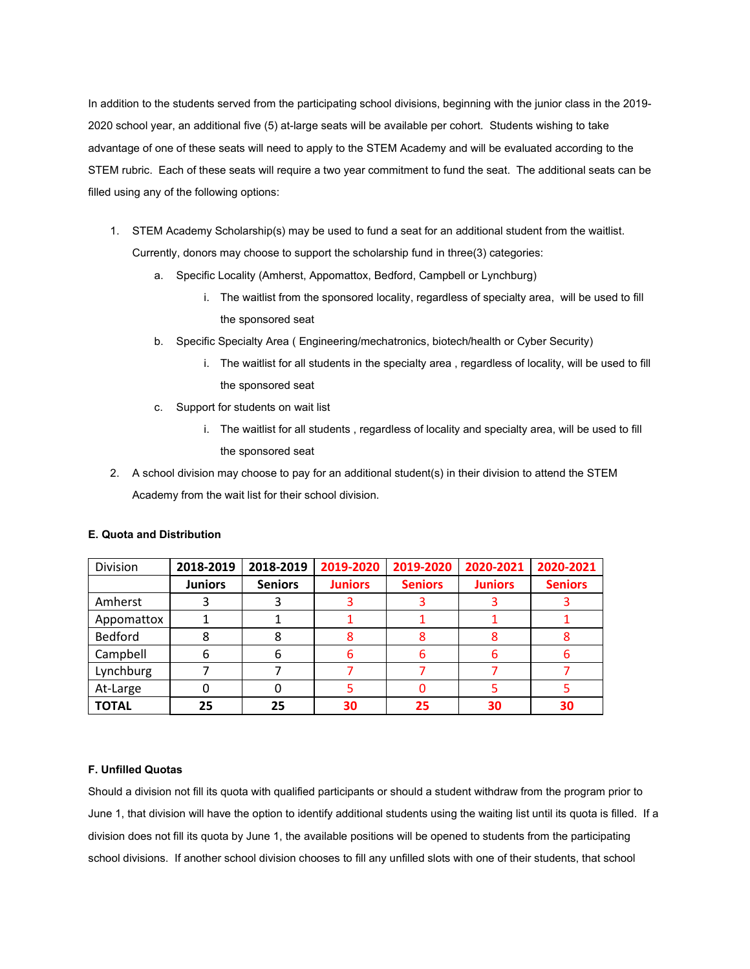In addition to the students served from the participating school divisions, beginning with the junior class in the 2019- 2020 school year, an additional five (5) at-large seats will be available per cohort. Students wishing to take advantage of one of these seats will need to apply to the STEM Academy and will be evaluated according to the STEM rubric. Each of these seats will require a two year commitment to fund the seat. The additional seats can be filled using any of the following options:

- 1. STEM Academy Scholarship(s) may be used to fund a seat for an additional student from the waitlist. Currently, donors may choose to support the scholarship fund in three(3) categories:
	- a. Specific Locality (Amherst, Appomattox, Bedford, Campbell or Lynchburg)
		- i. The waitlist from the sponsored locality, regardless of specialty area, will be used to fill the sponsored seat
	- b. Specific Specialty Area ( Engineering/mechatronics, biotech/health or Cyber Security)
		- i. The waitlist for all students in the specialty area , regardless of locality, will be used to fill the sponsored seat
	- c. Support for students on wait list
		- i. The waitlist for all students , regardless of locality and specialty area, will be used to fill the sponsored seat
- 2. A school division may choose to pay for an additional student(s) in their division to attend the STEM Academy from the wait list for their school division.

| Division       | 2018-2019      | 2018-2019      | 2019-2020      | 2019-2020      | 2020-2021      | 2020-2021      |
|----------------|----------------|----------------|----------------|----------------|----------------|----------------|
|                | <b>Juniors</b> | <b>Seniors</b> | <b>Juniors</b> | <b>Seniors</b> | <b>Juniors</b> | <b>Seniors</b> |
| Amherst        |                |                |                |                |                |                |
| Appomattox     |                |                |                |                |                |                |
| <b>Bedford</b> |                |                |                |                |                |                |
| Campbell       | 6              | 6              |                | b              |                |                |
| Lynchburg      |                |                |                |                |                |                |
| At-Large       |                |                |                |                |                |                |
| <b>TOTAL</b>   | 25             | 25             | 30             | 25             | 30             | 30             |

## **E. Quota and Distribution**

## **F. Unfilled Quotas**

Should a division not fill its quota with qualified participants or should a student withdraw from the program prior to June 1, that division will have the option to identify additional students using the waiting list until its quota is filled. If a division does not fill its quota by June 1, the available positions will be opened to students from the participating school divisions. If another school division chooses to fill any unfilled slots with one of their students, that school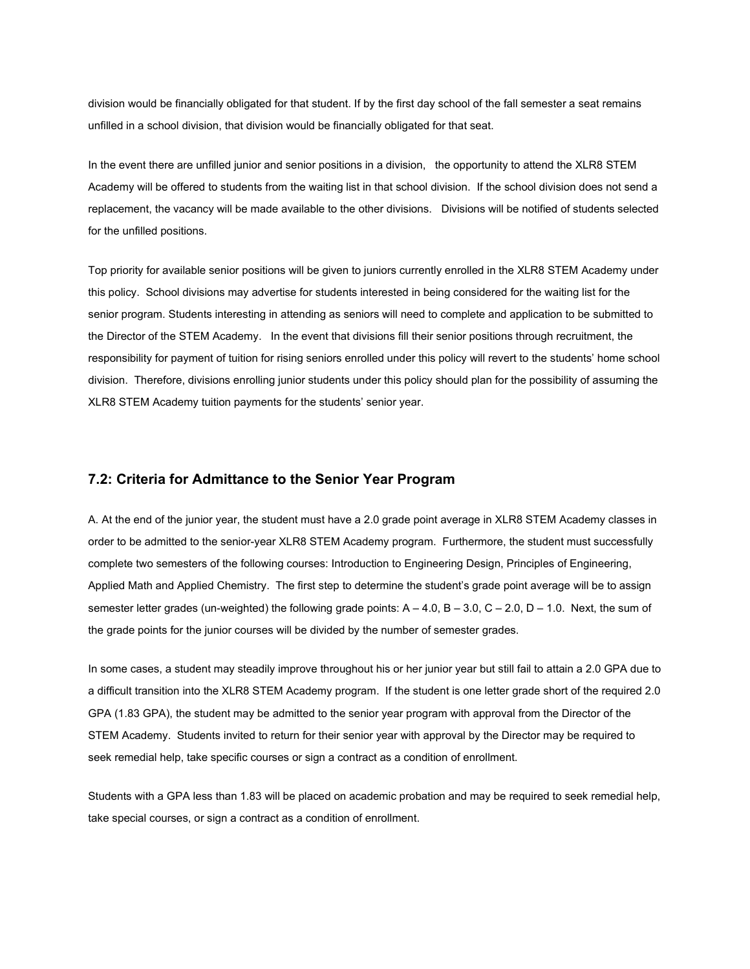division would be financially obligated for that student. If by the first day school of the fall semester a seat remains unfilled in a school division, that division would be financially obligated for that seat.

In the event there are unfilled junior and senior positions in a division, the opportunity to attend the XLR8 STEM Academy will be offered to students from the waiting list in that school division. If the school division does not send a replacement, the vacancy will be made available to the other divisions. Divisions will be notified of students selected for the unfilled positions.

Top priority for available senior positions will be given to juniors currently enrolled in the XLR8 STEM Academy under this policy. School divisions may advertise for students interested in being considered for the waiting list for the senior program. Students interesting in attending as seniors will need to complete and application to be submitted to the Director of the STEM Academy. In the event that divisions fill their senior positions through recruitment, the responsibility for payment of tuition for rising seniors enrolled under this policy will revert to the students' home school division. Therefore, divisions enrolling junior students under this policy should plan for the possibility of assuming the XLR8 STEM Academy tuition payments for the students' senior year.

## **7.2: Criteria for Admittance to the Senior Year Program**

A. At the end of the junior year, the student must have a 2.0 grade point average in XLR8 STEM Academy classes in order to be admitted to the senior-year XLR8 STEM Academy program. Furthermore, the student must successfully complete two semesters of the following courses: Introduction to Engineering Design, Principles of Engineering, Applied Math and Applied Chemistry. The first step to determine the student's grade point average will be to assign semester letter grades (un-weighted) the following grade points:  $A - 4.0$ ,  $B - 3.0$ ,  $C - 2.0$ ,  $D - 1.0$ . Next, the sum of the grade points for the junior courses will be divided by the number of semester grades.

In some cases, a student may steadily improve throughout his or her junior year but still fail to attain a 2.0 GPA due to a difficult transition into the XLR8 STEM Academy program. If the student is one letter grade short of the required 2.0 GPA (1.83 GPA), the student may be admitted to the senior year program with approval from the Director of the STEM Academy. Students invited to return for their senior year with approval by the Director may be required to seek remedial help, take specific courses or sign a contract as a condition of enrollment.

Students with a GPA less than 1.83 will be placed on academic probation and may be required to seek remedial help, take special courses, or sign a contract as a condition of enrollment.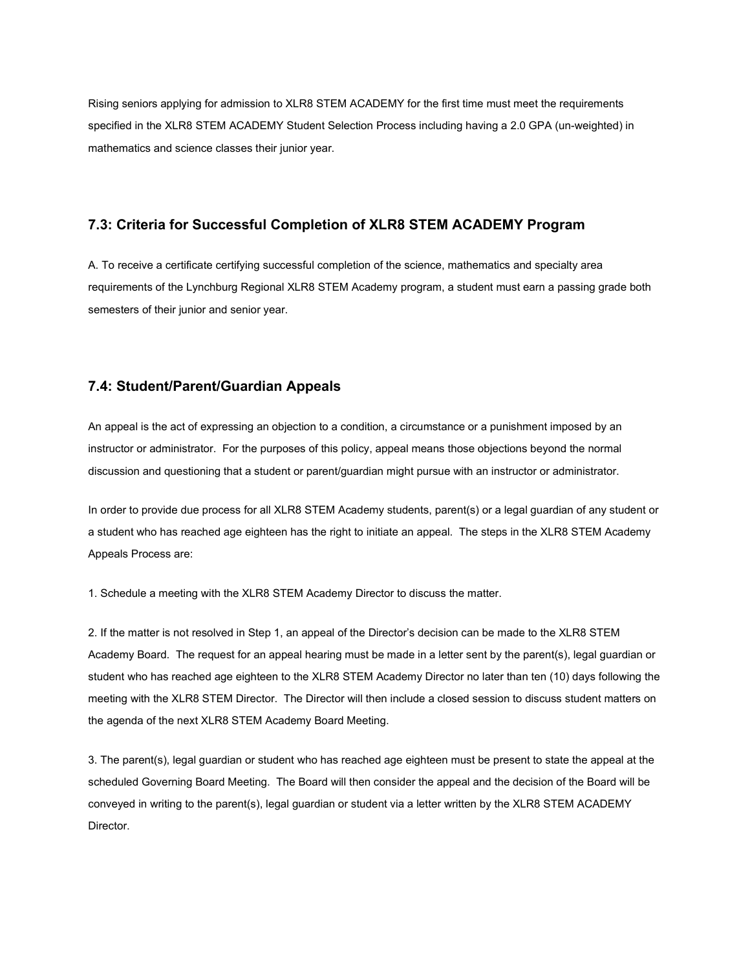Rising seniors applying for admission to XLR8 STEM ACADEMY for the first time must meet the requirements specified in the XLR8 STEM ACADEMY Student Selection Process including having a 2.0 GPA (un-weighted) in mathematics and science classes their junior year.

# **7.3: Criteria for Successful Completion of XLR8 STEM ACADEMY Program**

A. To receive a certificate certifying successful completion of the science, mathematics and specialty area requirements of the Lynchburg Regional XLR8 STEM Academy program, a student must earn a passing grade both semesters of their junior and senior year.

# **7.4: Student/Parent/Guardian Appeals**

An appeal is the act of expressing an objection to a condition, a circumstance or a punishment imposed by an instructor or administrator. For the purposes of this policy, appeal means those objections beyond the normal discussion and questioning that a student or parent/guardian might pursue with an instructor or administrator.

In order to provide due process for all XLR8 STEM Academy students, parent(s) or a legal guardian of any student or a student who has reached age eighteen has the right to initiate an appeal. The steps in the XLR8 STEM Academy Appeals Process are:

1. Schedule a meeting with the XLR8 STEM Academy Director to discuss the matter.

2. If the matter is not resolved in Step 1, an appeal of the Director's decision can be made to the XLR8 STEM Academy Board. The request for an appeal hearing must be made in a letter sent by the parent(s), legal guardian or student who has reached age eighteen to the XLR8 STEM Academy Director no later than ten (10) days following the meeting with the XLR8 STEM Director. The Director will then include a closed session to discuss student matters on the agenda of the next XLR8 STEM Academy Board Meeting.

3. The parent(s), legal guardian or student who has reached age eighteen must be present to state the appeal at the scheduled Governing Board Meeting. The Board will then consider the appeal and the decision of the Board will be conveyed in writing to the parent(s), legal guardian or student via a letter written by the XLR8 STEM ACADEMY Director.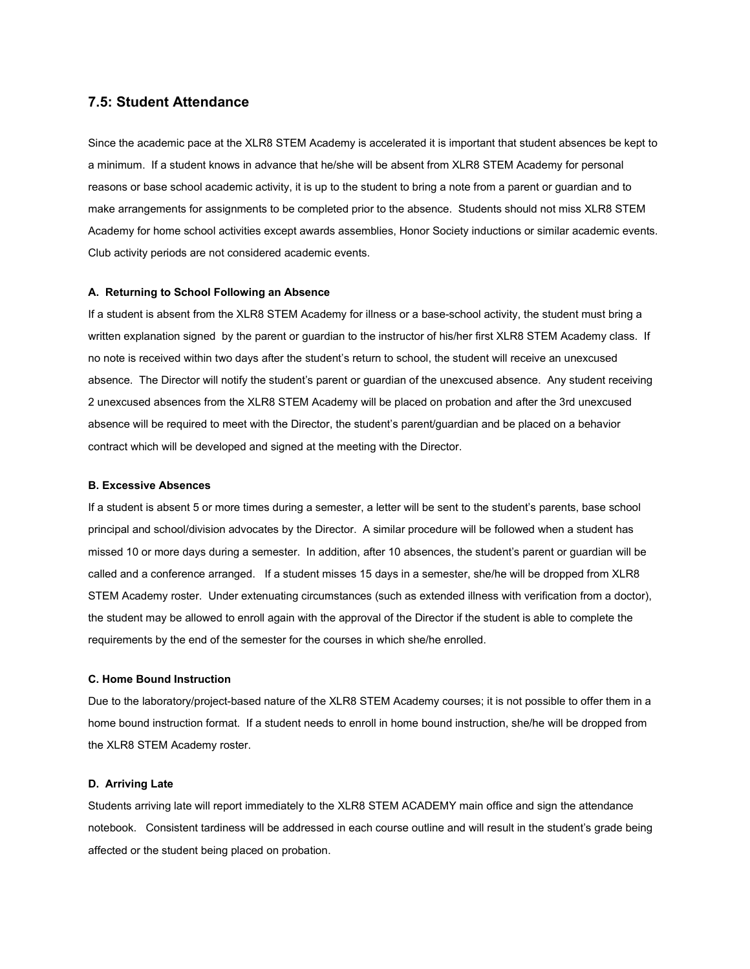# **7.5: Student Attendance**

Since the academic pace at the XLR8 STEM Academy is accelerated it is important that student absences be kept to a minimum. If a student knows in advance that he/she will be absent from XLR8 STEM Academy for personal reasons or base school academic activity, it is up to the student to bring a note from a parent or guardian and to make arrangements for assignments to be completed prior to the absence. Students should not miss XLR8 STEM Academy for home school activities except awards assemblies, Honor Society inductions or similar academic events. Club activity periods are not considered academic events.

#### **A. Returning to School Following an Absence**

If a student is absent from the XLR8 STEM Academy for illness or a base-school activity, the student must bring a written explanation signed by the parent or guardian to the instructor of his/her first XLR8 STEM Academy class. If no note is received within two days after the student's return to school, the student will receive an unexcused absence. The Director will notify the student's parent or guardian of the unexcused absence. Any student receiving 2 unexcused absences from the XLR8 STEM Academy will be placed on probation and after the 3rd unexcused absence will be required to meet with the Director, the student's parent/guardian and be placed on a behavior contract which will be developed and signed at the meeting with the Director.

#### **B. Excessive Absences**

If a student is absent 5 or more times during a semester, a letter will be sent to the student's parents, base school principal and school/division advocates by the Director. A similar procedure will be followed when a student has missed 10 or more days during a semester. In addition, after 10 absences, the student's parent or guardian will be called and a conference arranged. If a student misses 15 days in a semester, she/he will be dropped from XLR8 STEM Academy roster. Under extenuating circumstances (such as extended illness with verification from a doctor), the student may be allowed to enroll again with the approval of the Director if the student is able to complete the requirements by the end of the semester for the courses in which she/he enrolled.

## **C. Home Bound Instruction**

Due to the laboratory/project-based nature of the XLR8 STEM Academy courses; it is not possible to offer them in a home bound instruction format. If a student needs to enroll in home bound instruction, she/he will be dropped from the XLR8 STEM Academy roster.

#### **D. Arriving Late**

Students arriving late will report immediately to the XLR8 STEM ACADEMY main office and sign the attendance notebook. Consistent tardiness will be addressed in each course outline and will result in the student's grade being affected or the student being placed on probation.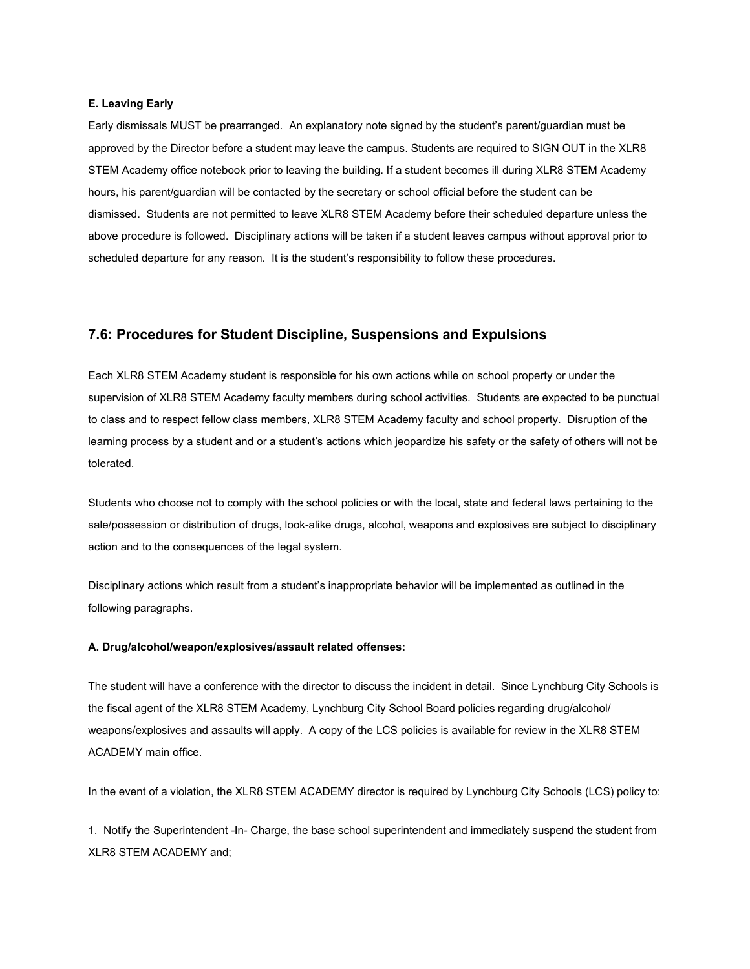#### **E. Leaving Early**

Early dismissals MUST be prearranged. An explanatory note signed by the student's parent/guardian must be approved by the Director before a student may leave the campus. Students are required to SIGN OUT in the XLR8 STEM Academy office notebook prior to leaving the building. If a student becomes ill during XLR8 STEM Academy hours, his parent/guardian will be contacted by the secretary or school official before the student can be dismissed. Students are not permitted to leave XLR8 STEM Academy before their scheduled departure unless the above procedure is followed. Disciplinary actions will be taken if a student leaves campus without approval prior to scheduled departure for any reason. It is the student's responsibility to follow these procedures.

## **7.6: Procedures for Student Discipline, Suspensions and Expulsions**

Each XLR8 STEM Academy student is responsible for his own actions while on school property or under the supervision of XLR8 STEM Academy faculty members during school activities. Students are expected to be punctual to class and to respect fellow class members, XLR8 STEM Academy faculty and school property. Disruption of the learning process by a student and or a student's actions which jeopardize his safety or the safety of others will not be tolerated.

Students who choose not to comply with the school policies or with the local, state and federal laws pertaining to the sale/possession or distribution of drugs, look-alike drugs, alcohol, weapons and explosives are subject to disciplinary action and to the consequences of the legal system.

Disciplinary actions which result from a student's inappropriate behavior will be implemented as outlined in the following paragraphs.

#### **A. Drug/alcohol/weapon/explosives/assault related offenses:**

The student will have a conference with the director to discuss the incident in detail. Since Lynchburg City Schools is the fiscal agent of the XLR8 STEM Academy, Lynchburg City School Board policies regarding drug/alcohol/ weapons/explosives and assaults will apply. A copy of the LCS policies is available for review in the XLR8 STEM ACADEMY main office.

In the event of a violation, the XLR8 STEM ACADEMY director is required by Lynchburg City Schools (LCS) policy to:

1. Notify the Superintendent -In- Charge, the base school superintendent and immediately suspend the student from XLR8 STEM ACADEMY and;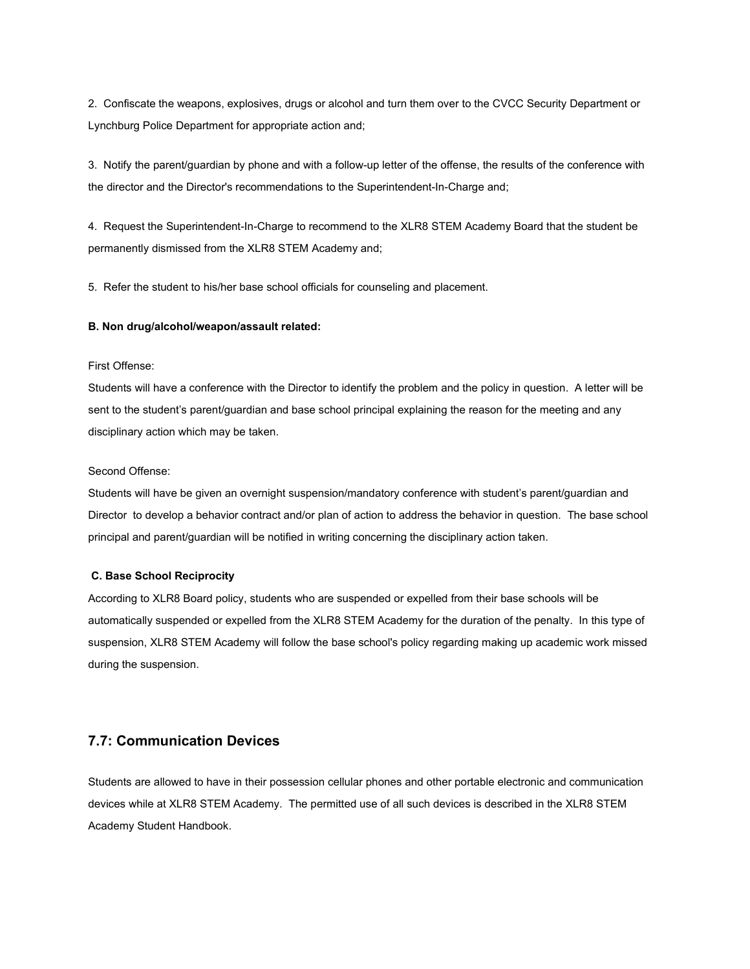2. Confiscate the weapons, explosives, drugs or alcohol and turn them over to the CVCC Security Department or Lynchburg Police Department for appropriate action and;

3. Notify the parent/guardian by phone and with a follow-up letter of the offense, the results of the conference with the director and the Director's recommendations to the Superintendent-In-Charge and;

4. Request the Superintendent-In-Charge to recommend to the XLR8 STEM Academy Board that the student be permanently dismissed from the XLR8 STEM Academy and;

5. Refer the student to his/her base school officials for counseling and placement.

#### **B. Non drug/alcohol/weapon/assault related:**

## First Offense:

Students will have a conference with the Director to identify the problem and the policy in question. A letter will be sent to the student's parent/guardian and base school principal explaining the reason for the meeting and any disciplinary action which may be taken.

### Second Offense:

Students will have be given an overnight suspension/mandatory conference with student's parent/guardian and Director to develop a behavior contract and/or plan of action to address the behavior in question. The base school principal and parent/guardian will be notified in writing concerning the disciplinary action taken.

#### **C. Base School Reciprocity**

According to XLR8 Board policy, students who are suspended or expelled from their base schools will be automatically suspended or expelled from the XLR8 STEM Academy for the duration of the penalty. In this type of suspension, XLR8 STEM Academy will follow the base school's policy regarding making up academic work missed during the suspension.

# **7.7: Communication Devices**

Students are allowed to have in their possession cellular phones and other portable electronic and communication devices while at XLR8 STEM Academy. The permitted use of all such devices is described in the XLR8 STEM Academy Student Handbook.